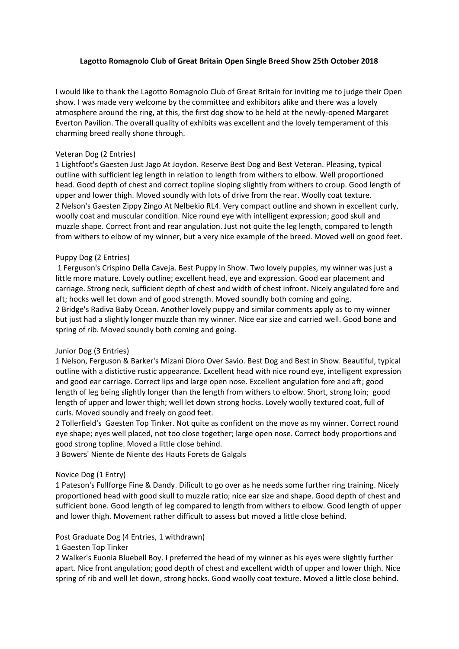# **Lagotto Romagnolo Club of Great Britain Open Single Breed Show 25th October 2018**

I would like to thank the Lagotto Romagnolo Club of Great Britain for inviting me to judge their Open show. I was made very welcome by the committee and exhibitors alike and there was a lovely atmosphere around the ring, at this, the first dog show to be held at the newly-opened Margaret Everton Pavilion. The overall quality of exhibits was excellent and the lovely temperament of this charming breed really shone through.

## Veteran Dog (2 Entries)

1 Lightfoot's Gaesten Just Jago At Joydon. Reserve Best Dog and Best Veteran. Pleasing, typical outline with sufficient leg length in relation to length from withers to elbow. Well proportioned head. Good depth of chest and correct topline sloping slightly from withers to croup. Good length of upper and lower thigh. Moved soundly with lots of drive from the rear. Woolly coat texture. 2 Nelson's Gaesten Zippy Zingo At Nelbekio RL4. Very compact outline and shown in excellent curly, woolly coat and muscular condition. Nice round eye with intelligent expression; good skull and muzzle shape. Correct front and rear angulation. Just not quite the leg length, compared to length from withers to elbow of my winner, but a very nice example of the breed. Moved well on good feet.

# Puppy Dog (2 Entries)

1 Ferguson's Crispino Della Caveja. Best Puppy in Show. Two lovely puppies, my winner was just a little more mature. Lovely outline; excellent head, eye and expression. Good ear placement and carriage. Strong neck, sufficient depth of chest and width of chest infront. Nicely angulated fore and aft; hocks well let down and of good strength. Moved soundly both coming and going. 2 Bridge's Radiva Baby Ocean. Another lovely puppy and similar comments apply as to my winner but just had a slightly longer muzzle than my winner. Nice ear size and carried well. Good bone and spring of rib. Moved soundly both coming and going.

### Junior Dog (3 Entries)

1 Nelson, Ferguson & Barker's Mizani Dioro Over Savio. Best Dog and Best in Show. Beautiful, typical outline with a distictive rustic appearance. Excellent head with nice round eye, intelligent expression and good ear carriage. Correct lips and large open nose. Excellent angulation fore and aft; good length of leg being slightly longer than the length from withers to elbow. Short, strong loin; good length of upper and lower thigh; well let down strong hocks. Lovely woolly textured coat, full of curls. Moved soundly and freely on good feet.

2 Tollerfield's Gaesten Top Tinker. Not quite as confident on the move as my winner. Correct round eye shape; eyes well placed, not too close together; large open nose. Correct body proportions and good strong topline. Moved a little close behind.

3 Bowers' Niente de Niente des Hauts Forets de Galgals

### Novice Dog (1 Entry)

1 Pateson's Fullforge Fine & Dandy. Dificult to go over as he needs some further ring training. Nicely proportioned head with good skull to muzzle ratio; nice ear size and shape. Good depth of chest and sufficient bone. Good length of leg compared to length from withers to elbow. Good length of upper and lower thigh. Movement rather difficult to assess but moved a little close behind.

### Post Graduate Dog (4 Entries, 1 withdrawn)

1 Gaesten Top Tinker

2 Walker's Euonia Bluebell Boy. I preferred the head of my winner as his eyes were slightly further apart. Nice front angulation; good depth of chest and excellent width of upper and lower thigh. Nice spring of rib and well let down, strong hocks. Good woolly coat texture. Moved a little close behind.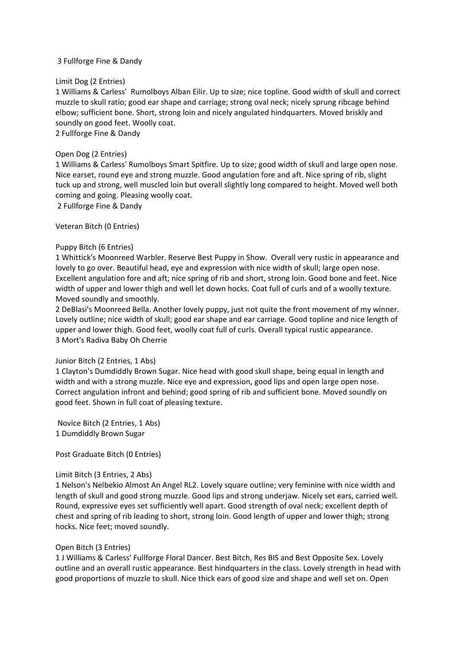# 3 Fullforge Fine & Dandy

## Limit Dog (2 Entries)

1 Williams & Carless' Rumolboys Alban Eilir. Up to size; nice topline. Good width of skull and correct muzzle to skull ratio; good ear shape and carriage; strong oval neck; nicely sprung ribcage behind elbow; sufficient bone. Short, strong loin and nicely angulated hindquarters. Moved briskly and soundly on good feet. Woolly coat.

2 Fullforge Fine & Dandy

## Open Dog (2 Entries)

1 Williams & Carless' Rumolboys Smart Spitfire. Up to size; good width of skull and large open nose. Nice earset, round eye and strong muzzle. Good angulation fore and aft. Nice spring of rib, slight tuck up and strong, well muscled loin but overall slightly long compared to height. Moved well both coming and going. Pleasing woolly coat.

2 Fullforge Fine & Dandy

Veteran Bitch (0 Entries)

## Puppy Bitch (6 Entries)

1 Whittick's Moonreed Warbler. Reserve Best Puppy in Show. Overall very rustic in appearance and lovely to go over. Beautiful head, eye and expression with nice width of skull; large open nose. Excellent angulation fore and aft; nice spring of rib and short, strong loin. Good bone and feet. Nice width of upper and lower thigh and well let down hocks. Coat full of curls and of a woolly texture. Moved soundly and smoothly.

2 DeBlasi's Moonreed Bella. Another lovely puppy, just not quite the front movement of my winner. Lovely outline; nice width of skull; good ear shape and ear carriage. Good topline and nice length of upper and lower thigh. Good feet, woolly coat full of curls. Overall typical rustic appearance. 3 Mort's Radiva Baby Oh Cherrie

### Junior Bitch (2 Entries, 1 Abs)

1 Clayton's Dumdiddly Brown Sugar. Nice head with good skull shape, being equal in length and width and with a strong muzzle. Nice eye and expression, good lips and open large open nose. Correct angulation infront and behind; good spring of rib and sufficient bone. Moved soundly on good feet. Shown in full coat of pleasing texture.

Novice Bitch (2 Entries, 1 Abs) 1 Dumdiddly Brown Sugar

Post Graduate Bitch (0 Entries)

### Limit Bitch (3 Entries, 2 Abs)

1 Nelson's Nelbekio Almost An Angel RL2. Lovely square outline; very feminine with nice width and length of skull and good strong muzzle. Good lips and strong underjaw. Nicely set ears, carried well. Round, expressive eyes set sufficiently well apart. Good strength of oval neck; excellent depth of chest and spring of rib leading to short, strong loin. Good length of upper and lower thigh; strong hocks. Nice feet; moved soundly.

# Open Bitch (3 Entries)

1 J Williams & Carless' Fullforge Floral Dancer. Best Bitch, Res BIS and Best Opposite Sex. Lovely outline and an overall rustic appearance. Best hindquarters in the class. Lovely strength in head with good proportions of muzzle to skull. Nice thick ears of good size and shape and well set on. Open